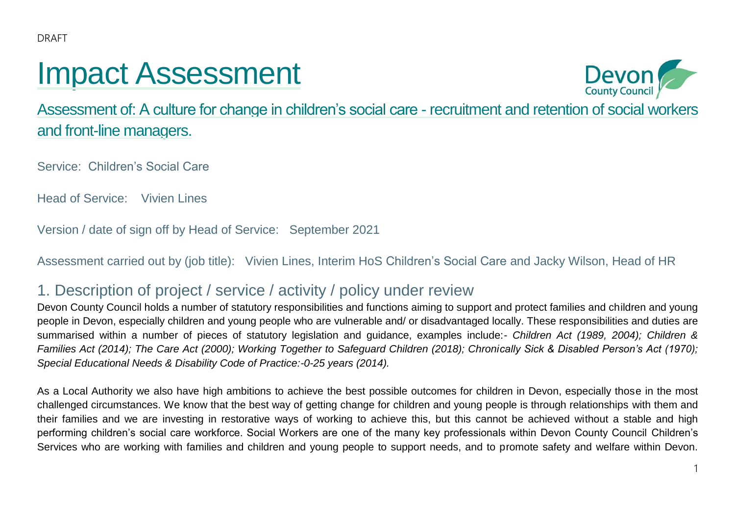# Impact Assessment



Assessment of: A culture for change in children's social care - recruitment and retention of social workers and front-line managers.

Service: Children's Social Care

Head of Service: Vivien Lines

Version / date of sign off by Head of Service: September 2021

Assessment carried out by (job title): Vivien Lines, Interim HoS Children's Social Care and Jacky Wilson, Head of HR

### 1. Description of project / service / activity / policy under review

Devon County Council holds a number of statutory responsibilities and functions aiming to support and protect families and children and young people in Devon, especially children and young people who are vulnerable and/ or disadvantaged locally. These responsibilities and duties are summarised within a number of pieces of statutory legislation and guidance, examples include:- *Children Act (1989, 2004); Children & Families Act (2014); The Care Act (2000); Working Together to Safeguard Children (2018); Chronically Sick & Disabled Person's Act (1970); Special Educational Needs & Disability Code of Practice:-0-25 years (2014).*

As a Local Authority we also have high ambitions to achieve the best possible outcomes for children in Devon, especially those in the most challenged circumstances. We know that the best way of getting change for children and young people is through relationships with them and their families and we are investing in restorative ways of working to achieve this, but this cannot be achieved without a stable and high performing children's social care workforce. Social Workers are one of the many key professionals within Devon County Council Children's Services who are working with families and children and young people to support needs, and to promote safety and welfare within Devon.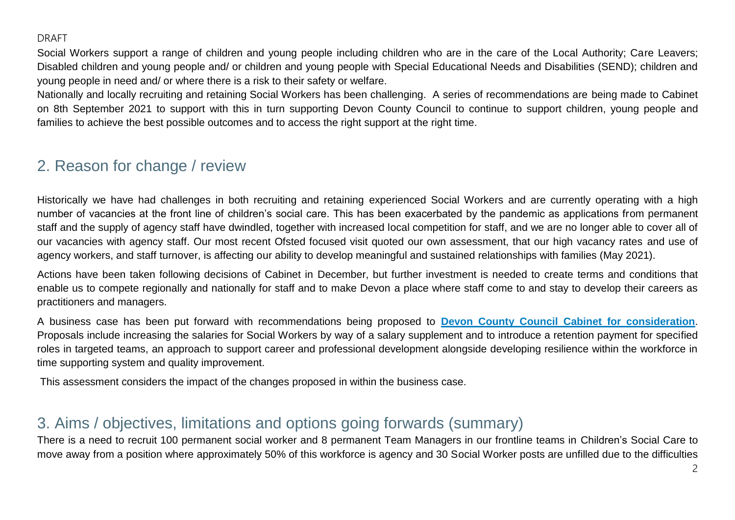Social Workers support a range of children and young people including children who are in the care of the Local Authority; Care Leavers; Disabled children and young people and/ or children and young people with Special Educational Needs and Disabilities (SEND); children and young people in need and/ or where there is a risk to their safety or welfare.

Nationally and locally recruiting and retaining Social Workers has been challenging. A series of recommendations are being made to Cabinet on 8th September 2021 to support with this in turn supporting Devon County Council to continue to support children, young people and families to achieve the best possible outcomes and to access the right support at the right time.

### 2. Reason for change / review

Historically we have had challenges in both recruiting and retaining experienced Social Workers and are currently operating with a high number of vacancies at the front line of children's social care. This has been exacerbated by the pandemic as applications from permanent staff and the supply of agency staff have dwindled, together with increased local competition for staff, and we are no longer able to cover all of our vacancies with agency staff. Our most recent Ofsted focused visit quoted our own assessment, that our high vacancy rates and use of agency workers, and staff turnover, is affecting our ability to develop meaningful and sustained relationships with families (May 2021).

Actions have been taken following decisions of Cabinet in December, but further investment is needed to create terms and conditions that enable us to compete regionally and nationally for staff and to make Devon a place where staff come to and stay to develop their careers as practitioners and managers.

A business case has been put forward with recommendations being proposed to **[Devon County Council Cabinet for consideration](https://democracy.devon.gov.uk/ieListMeetings.aspx?CommitteeId=133)**. Proposals include increasing the salaries for Social Workers by way of a salary supplement and to introduce a retention payment for specified roles in targeted teams, an approach to support career and professional development alongside developing resilience within the workforce in time supporting system and quality improvement.

This assessment considers the impact of the changes proposed in within the business case.

### 3. Aims / objectives, limitations and options going forwards (summary)

There is a need to recruit 100 permanent social worker and 8 permanent Team Managers in our frontline teams in Children's Social Care to move away from a position where approximately 50% of this workforce is agency and 30 Social Worker posts are unfilled due to the difficulties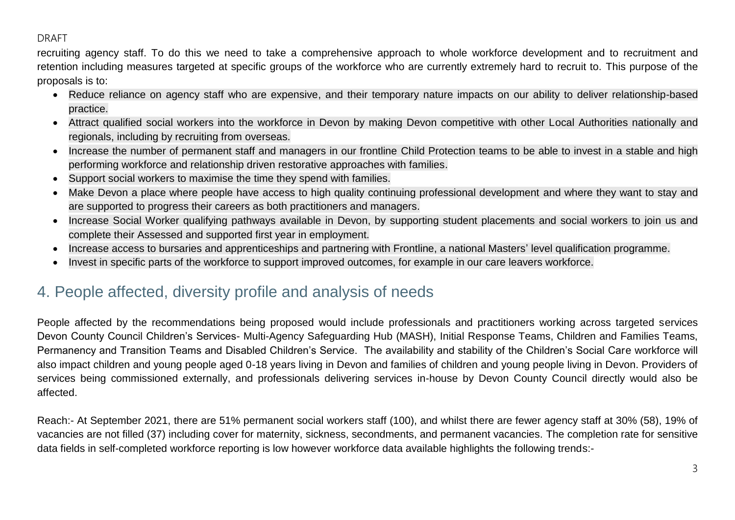recruiting agency staff. To do this we need to take a comprehensive approach to whole workforce development and to recruitment and retention including measures targeted at specific groups of the workforce who are currently extremely hard to recruit to. This purpose of the proposals is to:

- Reduce reliance on agency staff who are expensive, and their temporary nature impacts on our ability to deliver relationship-based practice.
- Attract qualified social workers into the workforce in Devon by making Devon competitive with other Local Authorities nationally and regionals, including by recruiting from overseas.
- Increase the number of permanent staff and managers in our frontline Child Protection teams to be able to invest in a stable and high performing workforce and relationship driven restorative approaches with families.
- Support social workers to maximise the time they spend with families.
- Make Devon a place where people have access to high quality continuing professional development and where they want to stay and are supported to progress their careers as both practitioners and managers.
- Increase Social Worker qualifying pathways available in Devon, by supporting student placements and social workers to join us and complete their Assessed and supported first year in employment.
- Increase access to bursaries and apprenticeships and partnering with Frontline, a national Masters' level qualification programme.
- Invest in specific parts of the workforce to support improved outcomes, for example in our care leavers workforce.

### 4. People affected, diversity profile and analysis of needs

People affected by the recommendations being proposed would include professionals and practitioners working across targeted services Devon County Council Children's Services- Multi-Agency Safeguarding Hub (MASH), Initial Response Teams, Children and Families Teams, Permanency and Transition Teams and Disabled Children's Service. The availability and stability of the Children's Social Care workforce will also impact children and young people aged 0-18 years living in Devon and families of children and young people living in Devon. Providers of services being commissioned externally, and professionals delivering services in-house by Devon County Council directly would also be affected.

Reach:- At September 2021, there are 51% permanent social workers staff (100), and whilst there are fewer agency staff at 30% (58), 19% of vacancies are not filled (37) including cover for maternity, sickness, secondments, and permanent vacancies. The completion rate for sensitive data fields in self-completed workforce reporting is low however workforce data available highlights the following trends:-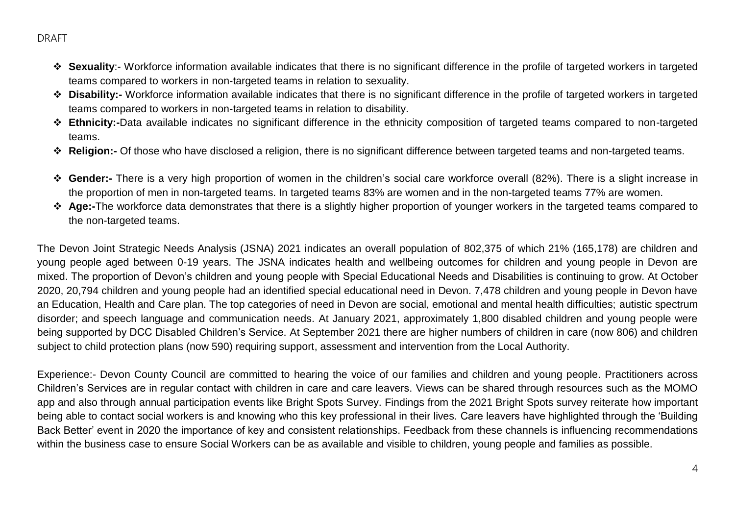- **Exuality:** Workforce information available indicates that there is no significant difference in the profile of targeted workers in targeted teams compared to workers in non-targeted teams in relation to sexuality.
- **Disability:-** Workforce information available indicates that there is no significant difference in the profile of targeted workers in targeted teams compared to workers in non-targeted teams in relation to disability.
- **Ethnicity:-**Data available indicates no significant difference in the ethnicity composition of targeted teams compared to non-targeted teams.
- **Religion:-** Of those who have disclosed a religion, there is no significant difference between targeted teams and non-targeted teams.
- **Gender:-** There is a very high proportion of women in the children's social care workforce overall (82%). There is a slight increase in the proportion of men in non-targeted teams. In targeted teams 83% are women and in the non-targeted teams 77% are women.
- **Age:-**The workforce data demonstrates that there is a slightly higher proportion of younger workers in the targeted teams compared to the non-targeted teams.

The Devon Joint Strategic Needs Analysis (JSNA) 2021 indicates an overall population of 802,375 of which 21% (165,178) are children and young people aged between 0-19 years. The JSNA indicates health and wellbeing outcomes for children and young people in Devon are mixed. The proportion of Devon's children and young people with Special Educational Needs and Disabilities is continuing to grow. At October 2020, 20,794 children and young people had an identified special educational need in Devon. 7,478 children and young people in Devon have an Education, Health and Care plan. The top categories of need in Devon are social, emotional and mental health difficulties; autistic spectrum disorder; and speech language and communication needs. At January 2021, approximately 1,800 disabled children and young people were being supported by DCC Disabled Children's Service. At September 2021 there are higher numbers of children in care (now 806) and children subject to child protection plans (now 590) requiring support, assessment and intervention from the Local Authority.

Experience:- Devon County Council are committed to hearing the voice of our families and children and young people. Practitioners across Children's Services are in regular contact with children in care and care leavers. Views can be shared through resources such as the MOMO app and also through annual participation events like Bright Spots Survey. Findings from the 2021 Bright Spots survey reiterate how important being able to contact social workers is and knowing who this key professional in their lives. Care leavers have highlighted through the 'Building Back Better' event in 2020 the importance of key and consistent relationships. Feedback from these channels is influencing recommendations within the business case to ensure Social Workers can be as available and visible to children, young people and families as possible.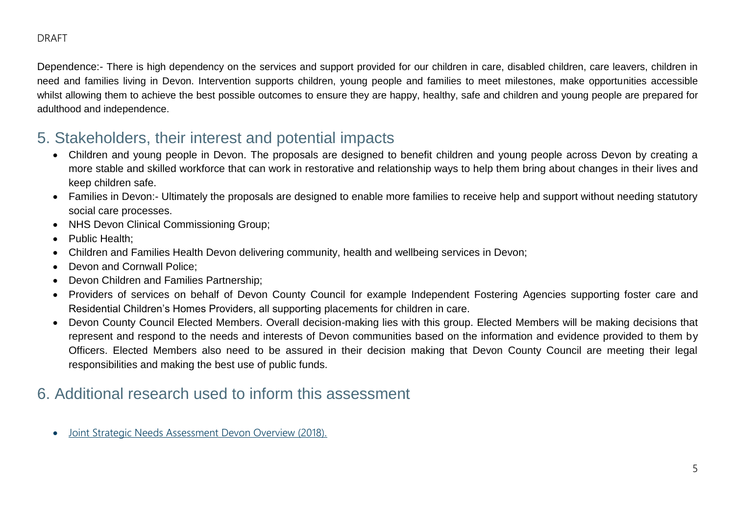Dependence:- There is high dependency on the services and support provided for our children in care, disabled children, care leavers, children in need and families living in Devon. Intervention supports children, young people and families to meet milestones, make opportunities accessible whilst allowing them to achieve the best possible outcomes to ensure they are happy, healthy, safe and children and young people are prepared for adulthood and independence.

### 5. Stakeholders, their interest and potential impacts

- Children and young people in Devon. The proposals are designed to benefit children and young people across Devon by creating a more stable and skilled workforce that can work in restorative and relationship ways to help them bring about changes in their lives and keep children safe.
- Families in Devon:- Ultimately the proposals are designed to enable more families to receive help and support without needing statutory social care processes.
- NHS Devon Clinical Commissioning Group;
- Public Health:
- Children and Families Health Devon delivering community, health and wellbeing services in Devon;
- Devon and Cornwall Police:
- Devon Children and Families Partnership;
- Providers of services on behalf of Devon County Council for example Independent Fostering Agencies supporting foster care and Residential Children's Homes Providers, all supporting placements for children in care.
- Devon County Council Elected Members. Overall decision-making lies with this group. Elected Members will be making decisions that represent and respond to the needs and interests of Devon communities based on the information and evidence provided to them by Officers. Elected Members also need to be assured in their decision making that Devon County Council are meeting their legal responsibilities and making the best use of public funds.

### 6. Additional research used to inform this assessment

[Joint Strategic Needs Assessment Devon Overview \(2018\).](https://www.devonhealthandwellbeing.org.uk/jsna/overview/)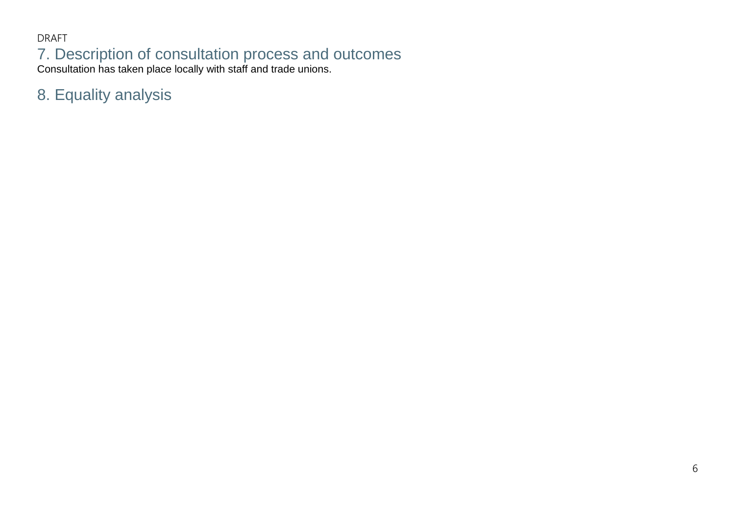DRAFT 7. Description of consultation process and outcomes Consultation has taken place locally with staff and trade unions.

8. Equality analysis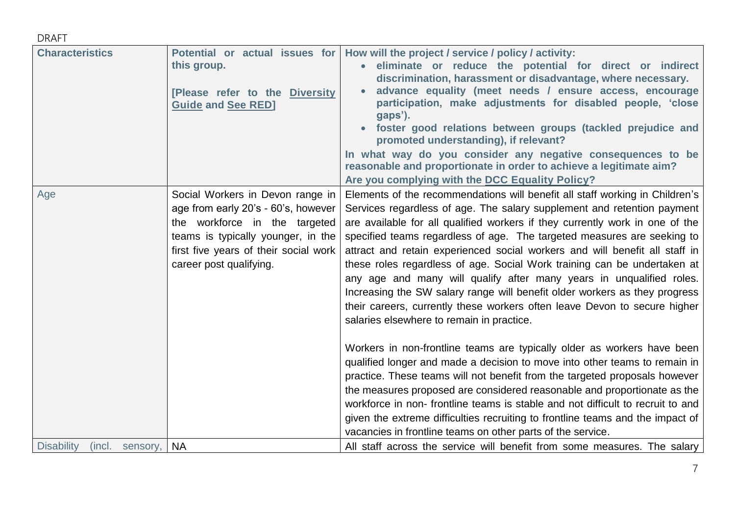| <b>Characteristics</b>               | Potential or actual issues for<br>this group.<br>[Please refer to the Diversity<br><b>Guide and See RED]</b>                                                                                                       | How will the project / service / policy / activity:<br>eliminate or reduce the potential for direct or indirect<br>discrimination, harassment or disadvantage, where necessary.<br>advance equality (meet needs / ensure access, encourage<br>participation, make adjustments for disabled people, 'close<br>gaps').<br>foster good relations between groups (tackled prejudice and<br>promoted understanding), if relevant?<br>In what way do you consider any negative consequences to be<br>reasonable and proportionate in order to achieve a legitimate aim?<br>Are you complying with the DCC Equality Policy?                                                                                                                                          |
|--------------------------------------|--------------------------------------------------------------------------------------------------------------------------------------------------------------------------------------------------------------------|---------------------------------------------------------------------------------------------------------------------------------------------------------------------------------------------------------------------------------------------------------------------------------------------------------------------------------------------------------------------------------------------------------------------------------------------------------------------------------------------------------------------------------------------------------------------------------------------------------------------------------------------------------------------------------------------------------------------------------------------------------------|
| Age                                  | Social Workers in Devon range in<br>age from early 20's - 60's, however<br>the workforce in the targeted<br>teams is typically younger, in the<br>first five years of their social work<br>career post qualifying. | Elements of the recommendations will benefit all staff working in Children's<br>Services regardless of age. The salary supplement and retention payment<br>are available for all qualified workers if they currently work in one of the<br>specified teams regardless of age. The targeted measures are seeking to<br>attract and retain experienced social workers and will benefit all staff in<br>these roles regardless of age. Social Work training can be undertaken at<br>any age and many will qualify after many years in unqualified roles.<br>Increasing the SW salary range will benefit older workers as they progress<br>their careers, currently these workers often leave Devon to secure higher<br>salaries elsewhere to remain in practice. |
|                                      |                                                                                                                                                                                                                    | Workers in non-frontline teams are typically older as workers have been<br>qualified longer and made a decision to move into other teams to remain in<br>practice. These teams will not benefit from the targeted proposals however<br>the measures proposed are considered reasonable and proportionate as the<br>workforce in non-frontline teams is stable and not difficult to recruit to and<br>given the extreme difficulties recruiting to frontline teams and the impact of<br>vacancies in frontline teams on other parts of the service.                                                                                                                                                                                                            |
| <b>Disability</b><br>(incl. sensory, | <b>NA</b>                                                                                                                                                                                                          | All staff across the service will benefit from some measures. The salary                                                                                                                                                                                                                                                                                                                                                                                                                                                                                                                                                                                                                                                                                      |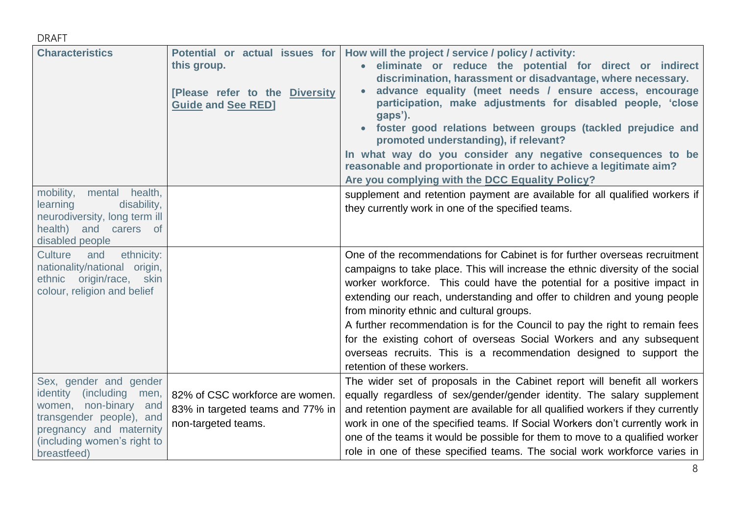| <b>Characteristics</b>        | Potential or actual issues for<br>this group.<br>[Please refer to the Diversity<br><b>Guide and See RED]</b> | How will the project / service / policy / activity:<br>eliminate or reduce the potential for direct or indirect<br>discrimination, harassment or disadvantage, where necessary.<br>advance equality (meet needs / ensure access, encourage<br>participation, make adjustments for disabled people, 'close<br>gaps').<br>foster good relations between groups (tackled prejudice and<br>promoted understanding), if relevant?<br>In what way do you consider any negative consequences to be<br>reasonable and proportionate in order to achieve a legitimate aim?<br>Are you complying with the DCC Equality Policy? |
|-------------------------------|--------------------------------------------------------------------------------------------------------------|----------------------------------------------------------------------------------------------------------------------------------------------------------------------------------------------------------------------------------------------------------------------------------------------------------------------------------------------------------------------------------------------------------------------------------------------------------------------------------------------------------------------------------------------------------------------------------------------------------------------|
| mobility,<br>mental health,   |                                                                                                              | supplement and retention payment are available for all qualified workers if                                                                                                                                                                                                                                                                                                                                                                                                                                                                                                                                          |
| learning<br>disability,       |                                                                                                              | they currently work in one of the specified teams.                                                                                                                                                                                                                                                                                                                                                                                                                                                                                                                                                                   |
| neurodiversity, long term ill |                                                                                                              |                                                                                                                                                                                                                                                                                                                                                                                                                                                                                                                                                                                                                      |
| health) and carers of         |                                                                                                              |                                                                                                                                                                                                                                                                                                                                                                                                                                                                                                                                                                                                                      |
| disabled people               |                                                                                                              |                                                                                                                                                                                                                                                                                                                                                                                                                                                                                                                                                                                                                      |
| ethnicity:<br>Culture<br>and  |                                                                                                              | One of the recommendations for Cabinet is for further overseas recruitment                                                                                                                                                                                                                                                                                                                                                                                                                                                                                                                                           |
| nationality/national origin,  |                                                                                                              | campaigns to take place. This will increase the ethnic diversity of the social                                                                                                                                                                                                                                                                                                                                                                                                                                                                                                                                       |
| ethnic origin/race, skin      |                                                                                                              | worker workforce. This could have the potential for a positive impact in                                                                                                                                                                                                                                                                                                                                                                                                                                                                                                                                             |
| colour, religion and belief   |                                                                                                              | extending our reach, understanding and offer to children and young people                                                                                                                                                                                                                                                                                                                                                                                                                                                                                                                                            |
|                               |                                                                                                              | from minority ethnic and cultural groups.                                                                                                                                                                                                                                                                                                                                                                                                                                                                                                                                                                            |
|                               |                                                                                                              | A further recommendation is for the Council to pay the right to remain fees                                                                                                                                                                                                                                                                                                                                                                                                                                                                                                                                          |
|                               |                                                                                                              | for the existing cohort of overseas Social Workers and any subsequent                                                                                                                                                                                                                                                                                                                                                                                                                                                                                                                                                |
|                               |                                                                                                              | overseas recruits. This is a recommendation designed to support the                                                                                                                                                                                                                                                                                                                                                                                                                                                                                                                                                  |
|                               |                                                                                                              | retention of these workers.                                                                                                                                                                                                                                                                                                                                                                                                                                                                                                                                                                                          |
| Sex, gender and gender        |                                                                                                              | The wider set of proposals in the Cabinet report will benefit all workers                                                                                                                                                                                                                                                                                                                                                                                                                                                                                                                                            |
| identity (including men,      | 82% of CSC workforce are women.                                                                              | equally regardless of sex/gender/gender identity. The salary supplement                                                                                                                                                                                                                                                                                                                                                                                                                                                                                                                                              |
| women, non-binary<br>and      | 83% in targeted teams and 77% in                                                                             | and retention payment are available for all qualified workers if they currently                                                                                                                                                                                                                                                                                                                                                                                                                                                                                                                                      |
| transgender people), and      | non-targeted teams.                                                                                          | work in one of the specified teams. If Social Workers don't currently work in                                                                                                                                                                                                                                                                                                                                                                                                                                                                                                                                        |
| pregnancy and maternity       |                                                                                                              | one of the teams it would be possible for them to move to a qualified worker                                                                                                                                                                                                                                                                                                                                                                                                                                                                                                                                         |
| (including women's right to   |                                                                                                              | role in one of these specified teams. The social work workforce varies in                                                                                                                                                                                                                                                                                                                                                                                                                                                                                                                                            |
| breastfeed)                   |                                                                                                              |                                                                                                                                                                                                                                                                                                                                                                                                                                                                                                                                                                                                                      |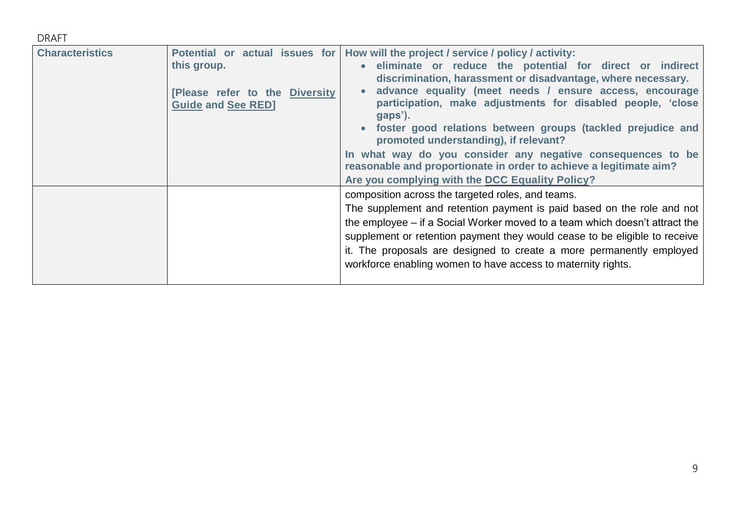| <b>DRAFT</b>           |                                                                                                              |                                                                                                                                                                                                                                                                                                                                                                                                                                                                                                                                                                                                                        |
|------------------------|--------------------------------------------------------------------------------------------------------------|------------------------------------------------------------------------------------------------------------------------------------------------------------------------------------------------------------------------------------------------------------------------------------------------------------------------------------------------------------------------------------------------------------------------------------------------------------------------------------------------------------------------------------------------------------------------------------------------------------------------|
| <b>Characteristics</b> | Potential or actual issues for<br>this group.<br>[Please refer to the Diversity<br><b>Guide and See RED]</b> | How will the project / service / policy / activity:<br>• eliminate or reduce the potential for direct or indirect<br>discrimination, harassment or disadvantage, where necessary.<br>advance equality (meet needs / ensure access, encourage<br>participation, make adjustments for disabled people, 'close<br>gaps').<br>foster good relations between groups (tackled prejudice and<br>promoted understanding), if relevant?<br>In what way do you consider any negative consequences to be<br>reasonable and proportionate in order to achieve a legitimate aim?<br>Are you complying with the DCC Equality Policy? |
|                        |                                                                                                              | composition across the targeted roles, and teams.<br>The supplement and retention payment is paid based on the role and not<br>the employee – if a Social Worker moved to a team which doesn't attract the<br>supplement or retention payment they would cease to be eligible to receive<br>it. The proposals are designed to create a more permanently employed<br>workforce enabling women to have access to maternity rights.                                                                                                                                                                                       |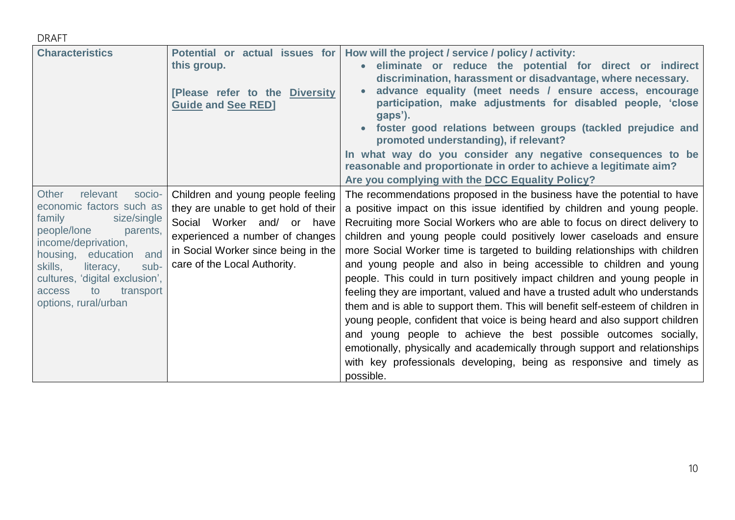| <b>Characteristics</b>                                                                                                                                                                                                                                                                 | Potential or actual issues for<br>this group.<br>[Please refer to the Diversity<br><b>Guide and See RED]</b>                                                                                                      | How will the project / service / policy / activity:<br>eliminate or reduce the potential for direct or indirect<br>discrimination, harassment or disadvantage, where necessary.<br>advance equality (meet needs / ensure access, encourage<br>participation, make adjustments for disabled people, 'close<br>gaps').<br>foster good relations between groups (tackled prejudice and<br>promoted understanding), if relevant?<br>In what way do you consider any negative consequences to be<br>reasonable and proportionate in order to achieve a legitimate aim?<br>Are you complying with the DCC Equality Policy?                                                                                                                                                                                                                                                                                                                                                                                                                 |
|----------------------------------------------------------------------------------------------------------------------------------------------------------------------------------------------------------------------------------------------------------------------------------------|-------------------------------------------------------------------------------------------------------------------------------------------------------------------------------------------------------------------|--------------------------------------------------------------------------------------------------------------------------------------------------------------------------------------------------------------------------------------------------------------------------------------------------------------------------------------------------------------------------------------------------------------------------------------------------------------------------------------------------------------------------------------------------------------------------------------------------------------------------------------------------------------------------------------------------------------------------------------------------------------------------------------------------------------------------------------------------------------------------------------------------------------------------------------------------------------------------------------------------------------------------------------|
| Other<br>relevant<br>socio-<br>economic factors such as<br>family<br>size/single<br>people/lone<br>parents,<br>income/deprivation,<br>housing, education<br>and<br>skills,<br>sub-<br>literacy,<br>cultures, 'digital exclusion',<br>transport<br>access<br>to<br>options, rural/urban | Children and young people feeling<br>they are unable to get hold of their<br>Social Worker and/ or have<br>experienced a number of changes<br>in Social Worker since being in the<br>care of the Local Authority. | The recommendations proposed in the business have the potential to have<br>a positive impact on this issue identified by children and young people.<br>Recruiting more Social Workers who are able to focus on direct delivery to<br>children and young people could positively lower caseloads and ensure<br>more Social Worker time is targeted to building relationships with children<br>and young people and also in being accessible to children and young<br>people. This could in turn positively impact children and young people in<br>feeling they are important, valued and have a trusted adult who understands<br>them and is able to support them. This will benefit self-esteem of children in<br>young people, confident that voice is being heard and also support children<br>and young people to achieve the best possible outcomes socially,<br>emotionally, physically and academically through support and relationships<br>with key professionals developing, being as responsive and timely as<br>possible. |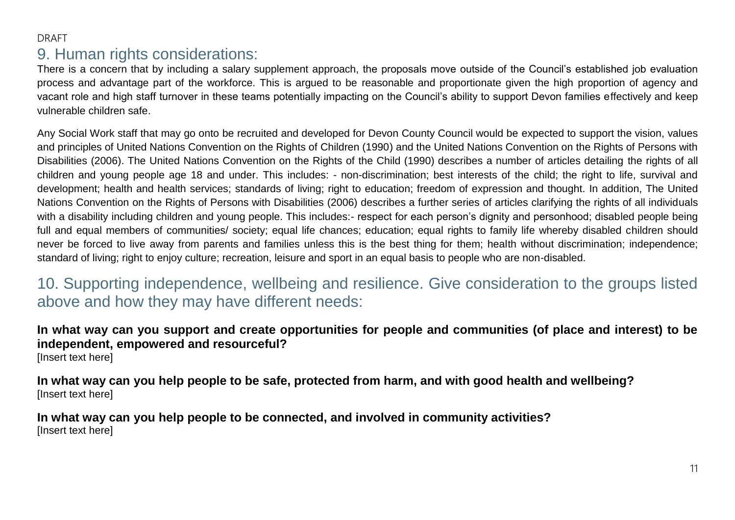### DRAFT 9. Human rights considerations:

There is a concern that by including a salary supplement approach, the proposals move outside of the Council's established job evaluation process and advantage part of the workforce. This is argued to be reasonable and proportionate given the high proportion of agency and vacant role and high staff turnover in these teams potentially impacting on the Council's ability to support Devon families effectively and keep vulnerable children safe.

Any Social Work staff that may go onto be recruited and developed for Devon County Council would be expected to support the vision, values and principles of United Nations Convention on the Rights of Children (1990) and the United Nations Convention on the Rights of Persons with Disabilities (2006). The United Nations Convention on the Rights of the Child (1990) describes a number of articles detailing the rights of all children and young people age 18 and under. This includes: - non-discrimination; best interests of the child; the right to life, survival and development; health and health services; standards of living; right to education; freedom of expression and thought. In addition, The United Nations Convention on the Rights of Persons with Disabilities (2006) describes a further series of articles clarifying the rights of all individuals with a disability including children and young people. This includes:- respect for each person's dignity and personhood; disabled people being full and equal members of communities/ society; equal life chances; education; equal rights to family life whereby disabled children should never be forced to live away from parents and families unless this is the best thing for them; health without discrimination; independence; standard of living; right to enjoy culture; recreation, leisure and sport in an equal basis to people who are non-disabled.

### 10. Supporting independence, wellbeing and resilience. Give consideration to the groups listed above and how they may have different needs:

### **In what way can you support and create opportunities for people and communities (of place and interest) to be independent, empowered and resourceful?**

[Insert text here]

**In what way can you help people to be safe, protected from harm, and with good health and wellbeing?** [Insert text here]

**In what way can you help people to be connected, and involved in community activities?** [Insert text here]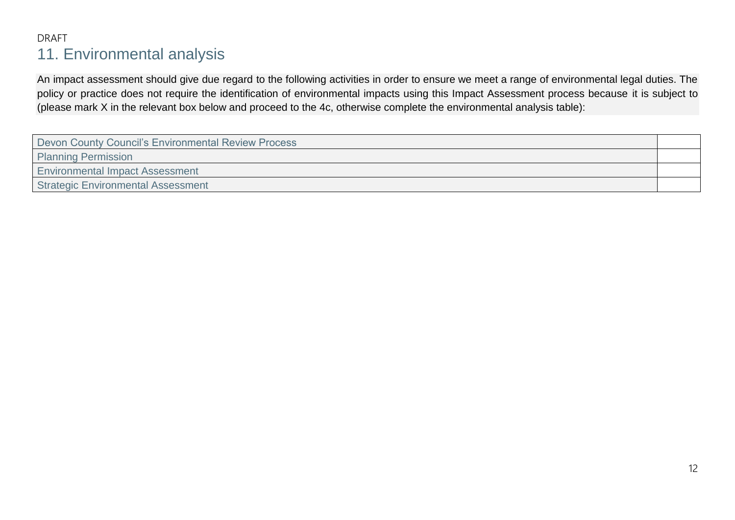### DRAFT 11. Environmental analysis

An impact assessment should give due regard to the following activities in order to ensure we meet a range of environmental legal duties. The policy or practice does not require the identification of environmental impacts using this Impact Assessment process because it is subject to (please mark X in the relevant box below and proceed to the 4c, otherwise complete the environmental analysis table):

| Devon County Council's Environmental Review Process |  |  |
|-----------------------------------------------------|--|--|
| <b>Planning Permission</b>                          |  |  |
| <b>Environmental Impact Assessment</b>              |  |  |
| <b>Strategic Environmental Assessment</b>           |  |  |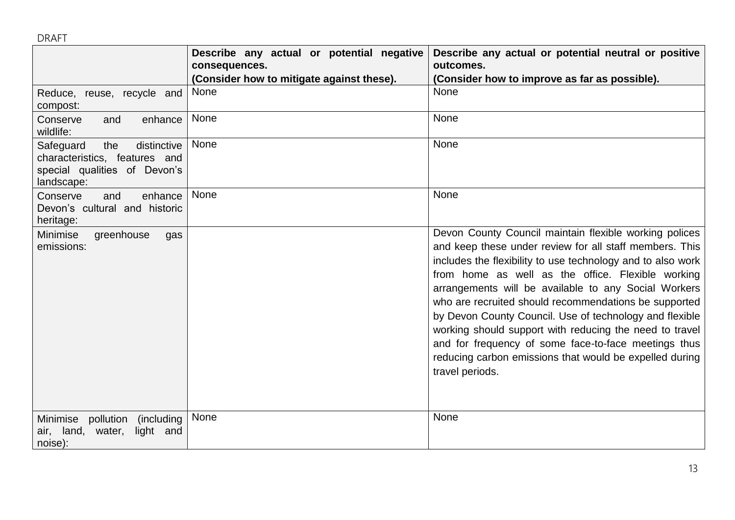|                                                                                                                | Describe any actual or potential negative<br>consequences.<br>(Consider how to mitigate against these). | Describe any actual or potential neutral or positive<br>outcomes.<br>(Consider how to improve as far as possible).                                                                                                                                                                                                                                                                                                                                                                                                                                                                                                 |
|----------------------------------------------------------------------------------------------------------------|---------------------------------------------------------------------------------------------------------|--------------------------------------------------------------------------------------------------------------------------------------------------------------------------------------------------------------------------------------------------------------------------------------------------------------------------------------------------------------------------------------------------------------------------------------------------------------------------------------------------------------------------------------------------------------------------------------------------------------------|
| Reduce, reuse, recycle and<br>compost:                                                                         | None                                                                                                    | None                                                                                                                                                                                                                                                                                                                                                                                                                                                                                                                                                                                                               |
| Conserve<br>enhance<br>and<br>wildlife:                                                                        | None                                                                                                    | None                                                                                                                                                                                                                                                                                                                                                                                                                                                                                                                                                                                                               |
| distinctive<br>Safeguard<br>the<br>characteristics, features and<br>special qualities of Devon's<br>landscape: | None                                                                                                    | None                                                                                                                                                                                                                                                                                                                                                                                                                                                                                                                                                                                                               |
| Conserve<br>enhance<br>and<br>Devon's cultural and historic<br>heritage:                                       | <b>None</b>                                                                                             | None                                                                                                                                                                                                                                                                                                                                                                                                                                                                                                                                                                                                               |
| Minimise<br>greenhouse<br>gas<br>emissions:                                                                    |                                                                                                         | Devon County Council maintain flexible working polices<br>and keep these under review for all staff members. This<br>includes the flexibility to use technology and to also work<br>from home as well as the office. Flexible working<br>arrangements will be available to any Social Workers<br>who are recruited should recommendations be supported<br>by Devon County Council. Use of technology and flexible<br>working should support with reducing the need to travel<br>and for frequency of some face-to-face meetings thus<br>reducing carbon emissions that would be expelled during<br>travel periods. |
| Minimise pollution<br>(including)<br>light and<br>air, land, water,<br>noise):                                 | None                                                                                                    | None                                                                                                                                                                                                                                                                                                                                                                                                                                                                                                                                                                                                               |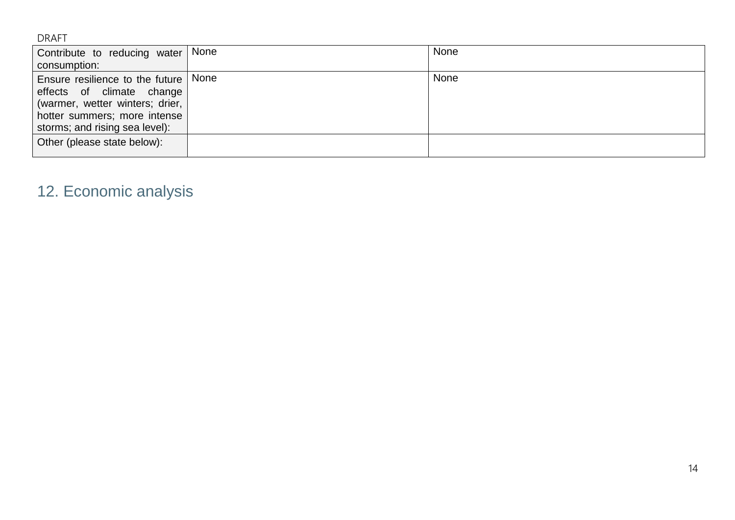| Contribute to reducing water   None                                                                                                                                      | None |
|--------------------------------------------------------------------------------------------------------------------------------------------------------------------------|------|
| consumption:                                                                                                                                                             |      |
| Ensure resilience to the future   None<br>effects of climate change<br>(warmer, wetter winters; drier,<br>hotter summers; more intense<br>storms; and rising sea level): | None |
| Other (please state below):                                                                                                                                              |      |

## 12. Economic analysis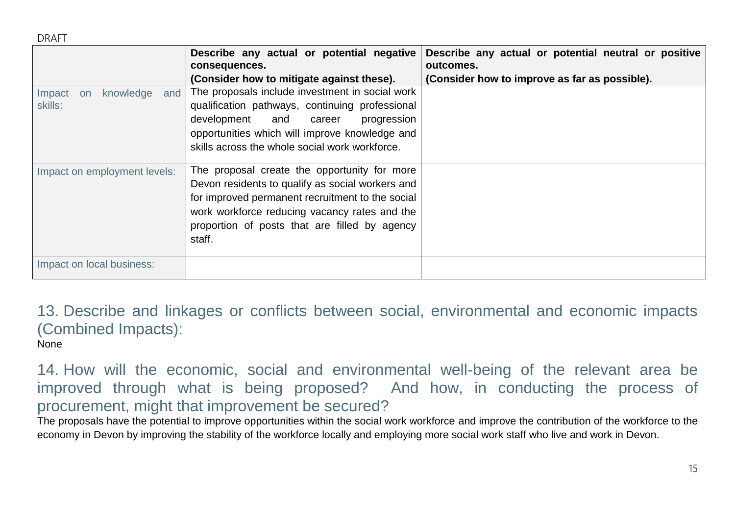|                                             | Describe any actual or potential negative<br>consequences.                                                                                                                                                                                                       | Describe any actual or potential neutral or positive<br>outcomes. |
|---------------------------------------------|------------------------------------------------------------------------------------------------------------------------------------------------------------------------------------------------------------------------------------------------------------------|-------------------------------------------------------------------|
|                                             | (Consider how to mitigate against these).                                                                                                                                                                                                                        | (Consider how to improve as far as possible).                     |
| knowledge<br>and<br>Impact<br>on<br>skills: | The proposals include investment in social work<br>qualification pathways, continuing professional<br>development and career<br>progression<br>opportunities which will improve knowledge and<br>skills across the whole social work workforce.                  |                                                                   |
| Impact on employment levels:                | The proposal create the opportunity for more<br>Devon residents to qualify as social workers and<br>for improved permanent recruitment to the social<br>work workforce reducing vacancy rates and the<br>proportion of posts that are filled by agency<br>staff. |                                                                   |
| Impact on local business:                   |                                                                                                                                                                                                                                                                  |                                                                   |

13. Describe and linkages or conflicts between social, environmental and economic impacts (Combined Impacts): None

14. How will the economic, social and environmental well-being of the relevant area be improved through what is being proposed? And how, in conducting the process of procurement, might that improvement be secured?

The proposals have the potential to improve opportunities within the social work workforce and improve the contribution of the workforce to the economy in Devon by improving the stability of the workforce locally and employing more social work staff who live and work in Devon.